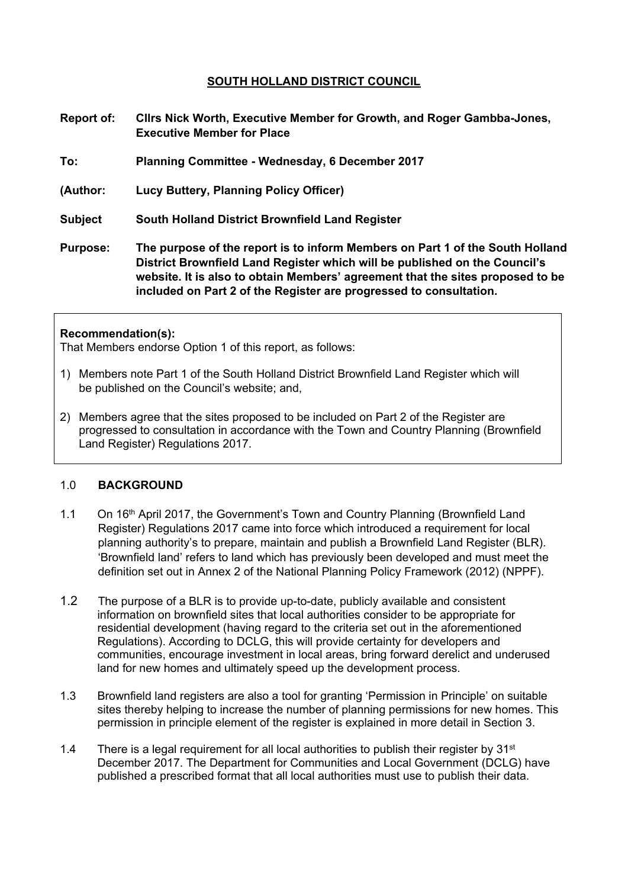## **SOUTH HOLLAND DISTRICT COUNCIL**

- **Report of: Cllrs Nick Worth, Executive Member for Growth, and Roger Gambba-Jones, Executive Member for Place**
- **To: Planning Committee - Wednesday, 6 December 2017**
- **(Author: Lucy Buttery, Planning Policy Officer)**
- **Subject South Holland District Brownfield Land Register**
- **Purpose: The purpose of the report is to inform Members on Part 1 of the South Holland District Brownfield Land Register which will be published on the Council's website. It is also to obtain Members' agreement that the sites proposed to be included on Part 2 of the Register are progressed to consultation.**

#### **Recommendation(s):**

That Members endorse Option 1 of this report, as follows:

- 1) Members note Part 1 of the South Holland District Brownfield Land Register which will be published on the Council's website; and,
- 2) Members agree that the sites proposed to be included on Part 2 of the Register are progressed to consultation in accordance with the Town and Country Planning (Brownfield Land Register) Regulations 2017.

#### 1.0 **BACKGROUND**

- 1.1 On 16th April 2017, the Government's Town and Country Planning (Brownfield Land Register) Regulations 2017 came into force which introduced a requirement for local planning authority's to prepare, maintain and publish a Brownfield Land Register (BLR). 'Brownfield land' refers to land which has previously been developed and must meet the definition set out in Annex 2 of the National Planning Policy Framework (2012) (NPPF).
- 1.2 The purpose of a BLR is to provide up-to-date, publicly available and consistent information on brownfield sites that local authorities consider to be appropriate for residential development (having regard to the criteria set out in the aforementioned Regulations). According to DCLG, this will provide certainty for developers and communities, encourage investment in local areas, bring forward derelict and underused land for new homes and ultimately speed up the development process.
- 1.3 Brownfield land registers are also a tool for granting 'Permission in Principle' on suitable sites thereby helping to increase the number of planning permissions for new homes. This permission in principle element of the register is explained in more detail in Section 3.
- 1.4 There is a legal requirement for all local authorities to publish their register by  $31<sup>st</sup>$ December 2017. The Department for Communities and Local Government (DCLG) have published a prescribed format that all local authorities must use to publish their data.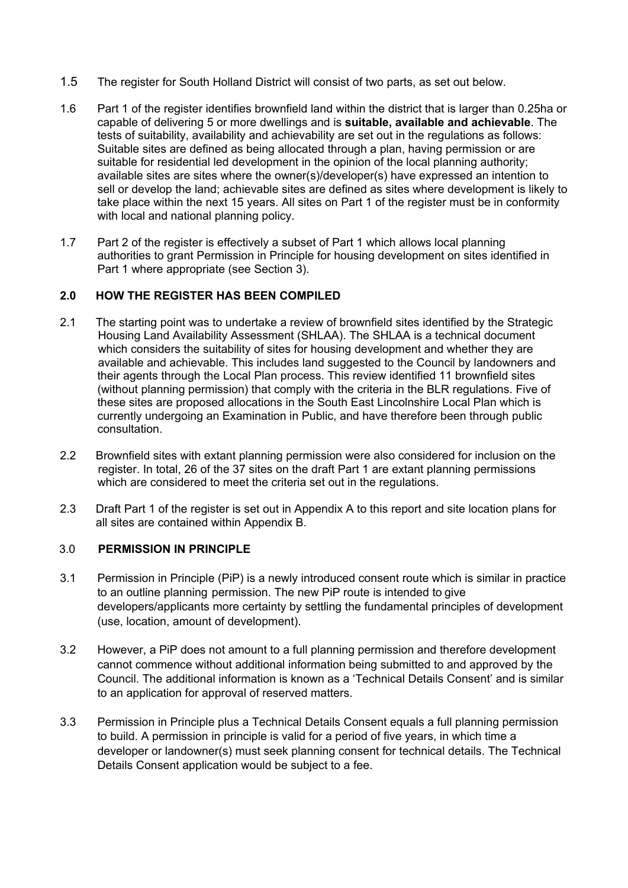- 1.5 The register for South Holland District will consist of two parts, as set out below.
- 1.6 Part 1 of the register identifies brownfield land within the district that is larger than 0.25ha or capable of delivering 5 or more dwellings and is **suitable, available and achievable**. The tests of suitability, availability and achievability are set out in the regulations as follows: Suitable sites are defined as being allocated through a plan, having permission or are suitable for residential led development in the opinion of the local planning authority; available sites are sites where the owner(s)/developer(s) have expressed an intention to sell or develop the land; achievable sites are defined as sites where development is likely to take place within the next 15 years. All sites on Part 1 of the register must be in conformity with local and national planning policy.
- 1.7 Part 2 of the register is effectively a subset of Part 1 which allows local planning authorities to grant Permission in Principle for housing development on sites identified in Part 1 where appropriate (see Section 3).

## **2.0 HOW THE REGISTER HAS BEEN COMPILED**

- 2.1 The starting point was to undertake a review of brownfield sites identified by the Strategic Housing Land Availability Assessment (SHLAA). The SHLAA is a technical document which considers the suitability of sites for housing development and whether they are available and achievable. This includes land suggested to the Council by landowners and their agents through the Local Plan process. This review identified 11 brownfield sites (without planning permission) that comply with the criteria in the BLR regulations. Five of these sites are proposed allocations in the South East Lincolnshire Local Plan which is currently undergoing an Examination in Public, and have therefore been through public consultation.
- 2.2 Brownfield sites with extant planning permission were also considered for inclusion on the register. In total, 26 of the 37 sites on the draft Part 1 are extant planning permissions which are considered to meet the criteria set out in the regulations.
- 2.3 Draft Part 1 of the register is set out in Appendix A to this report and site location plans for all sites are contained within Appendix B.

## 3.0 **PERMISSION IN PRINCIPLE**

- 3.1 Permission in Principle (PiP) is a newly introduced consent route which is similar in practice to an outline planning permission. The new PiP route is intended to give developers/applicants more certainty by settling the fundamental principles of development (use, location, amount of development).
- 3.2 However, a PiP does not amount to a full planning permission and therefore development cannot commence without additional information being submitted to and approved by the Council. The additional information is known as a 'Technical Details Consent' and is similar to an application for approval of reserved matters.
- 3.3 Permission in Principle plus a Technical Details Consent equals a full planning permission to build. A permission in principle is valid for a period of five years, in which time a developer or landowner(s) must seek planning consent for technical details. The Technical Details Consent application would be subject to a fee.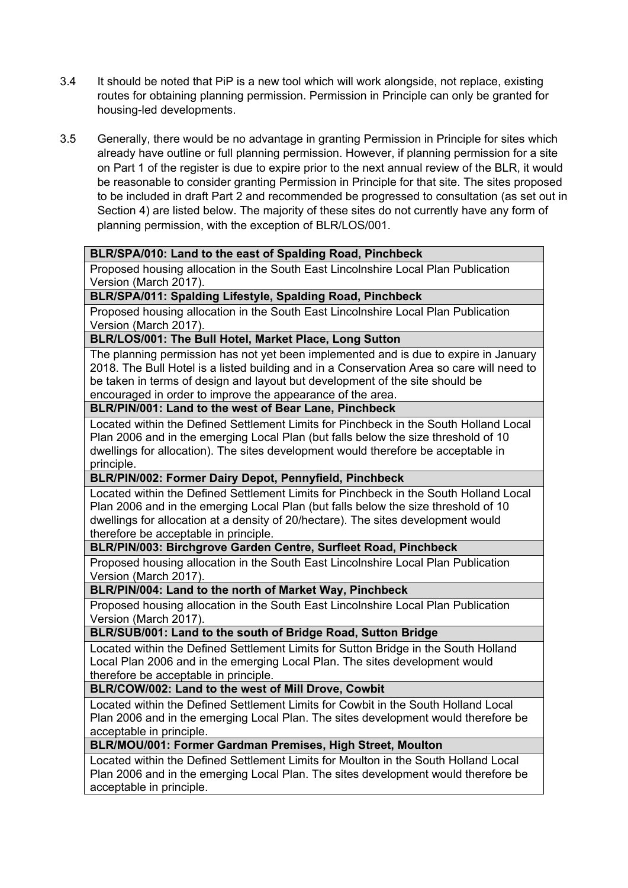- 3.4 It should be noted that PiP is a new tool which will work alongside, not replace, existing routes for obtaining planning permission. Permission in Principle can only be granted for housing-led developments.
- 3.5 Generally, there would be no advantage in granting Permission in Principle for sites which already have outline or full planning permission. However, if planning permission for a site on Part 1 of the register is due to expire prior to the next annual review of the BLR, it would be reasonable to consider granting Permission in Principle for that site. The sites proposed to be included in draft Part 2 and recommended be progressed to consultation (as set out in Section 4) are listed below. The majority of these sites do not currently have any form of planning permission, with the exception of BLR/LOS/001.

## **BLR/SPA/010: Land to the east of Spalding Road, Pinchbeck**

Proposed housing allocation in the South East Lincolnshire Local Plan Publication Version (March 2017).

## **BLR/SPA/011: Spalding Lifestyle, Spalding Road, Pinchbeck**

Proposed housing allocation in the South East Lincolnshire Local Plan Publication Version (March 2017).

## **BLR/LOS/001: The Bull Hotel, Market Place, Long Sutton**

The planning permission has not yet been implemented and is due to expire in January 2018. The Bull Hotel is a listed building and in a Conservation Area so care will need to be taken in terms of design and layout but development of the site should be encouraged in order to improve the appearance of the area.

## **BLR/PIN/001: Land to the west of Bear Lane, Pinchbeck**

Located within the Defined Settlement Limits for Pinchbeck in the South Holland Local Plan 2006 and in the emerging Local Plan (but falls below the size threshold of 10 dwellings for allocation). The sites development would therefore be acceptable in principle.

## **BLR/PIN/002: Former Dairy Depot, Pennyfield, Pinchbeck**

Located within the Defined Settlement Limits for Pinchbeck in the South Holland Local Plan 2006 and in the emerging Local Plan (but falls below the size threshold of 10 dwellings for allocation at a density of 20/hectare). The sites development would therefore be acceptable in principle.

## **BLR/PIN/003: Birchgrove Garden Centre, Surfleet Road, Pinchbeck**

Proposed housing allocation in the South East Lincolnshire Local Plan Publication Version (March 2017).

## **BLR/PIN/004: Land to the north of Market Way, Pinchbeck**

Proposed housing allocation in the South East Lincolnshire Local Plan Publication Version (March 2017).

## **BLR/SUB/001: Land to the south of Bridge Road, Sutton Bridge**

Located within the Defined Settlement Limits for Sutton Bridge in the South Holland Local Plan 2006 and in the emerging Local Plan. The sites development would therefore be acceptable in principle.

## **BLR/COW/002: Land to the west of Mill Drove, Cowbit**

Located within the Defined Settlement Limits for Cowbit in the South Holland Local Plan 2006 and in the emerging Local Plan. The sites development would therefore be acceptable in principle.

# **BLR/MOU/001: Former Gardman Premises, High Street, Moulton**

Located within the Defined Settlement Limits for Moulton in the South Holland Local Plan 2006 and in the emerging Local Plan. The sites development would therefore be acceptable in principle.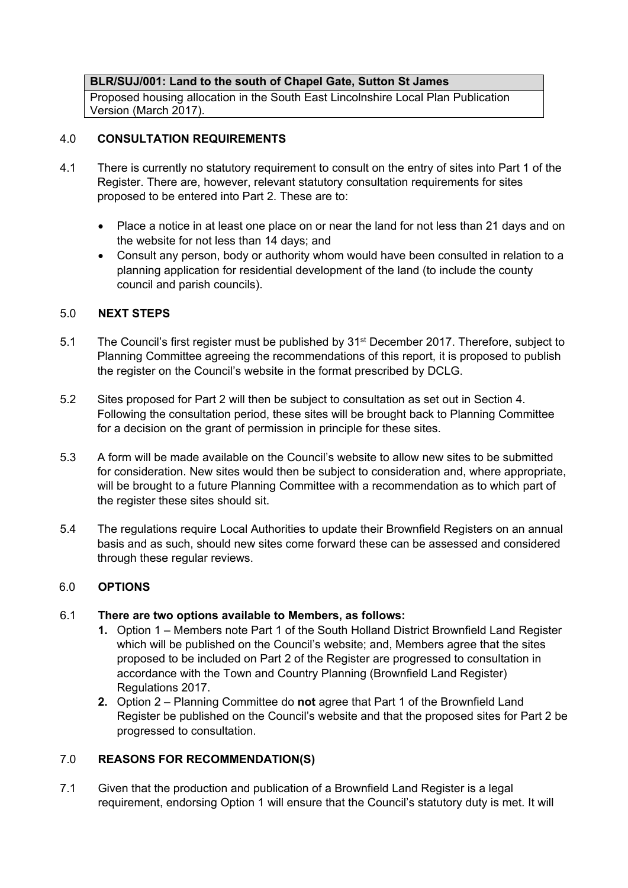## **BLR/SUJ/001: Land to the south of Chapel Gate, Sutton St James**

Proposed housing allocation in the South East Lincolnshire Local Plan Publication Version (March 2017).

## 4.0 **CONSULTATION REQUIREMENTS**

- 4.1 There is currently no statutory requirement to consult on the entry of sites into Part 1 of the Register. There are, however, relevant statutory consultation requirements for sites proposed to be entered into Part 2. These are to:
	- Place a notice in at least one place on or near the land for not less than 21 days and on the website for not less than 14 days; and
	- Consult any person, body or authority whom would have been consulted in relation to a planning application for residential development of the land (to include the county council and parish councils).

## 5.0 **NEXT STEPS**

- 5.1 The Council's first register must be published by 31<sup>st</sup> December 2017. Therefore, subject to Planning Committee agreeing the recommendations of this report, it is proposed to publish the register on the Council's website in the format prescribed by DCLG.
- 5.2 Sites proposed for Part 2 will then be subject to consultation as set out in Section 4. Following the consultation period, these sites will be brought back to Planning Committee for a decision on the grant of permission in principle for these sites.
- 5.3 A form will be made available on the Council's website to allow new sites to be submitted for consideration. New sites would then be subject to consideration and, where appropriate, will be brought to a future Planning Committee with a recommendation as to which part of the register these sites should sit.
- 5.4 The regulations require Local Authorities to update their Brownfield Registers on an annual basis and as such, should new sites come forward these can be assessed and considered through these regular reviews.

## 6.0 **OPTIONS**

## 6.1 **There are two options available to Members, as follows:**

- **1.** Option 1 Members note Part 1 of the South Holland District Brownfield Land Register which will be published on the Council's website; and, Members agree that the sites proposed to be included on Part 2 of the Register are progressed to consultation in accordance with the Town and Country Planning (Brownfield Land Register) Regulations 2017.
- **2.** Option 2 Planning Committee do **not** agree that Part 1 of the Brownfield Land Register be published on the Council's website and that the proposed sites for Part 2 be progressed to consultation.

## 7.0 **REASONS FOR RECOMMENDATION(S)**

7.1 Given that the production and publication of a Brownfield Land Register is a legal requirement, endorsing Option 1 will ensure that the Council's statutory duty is met. It will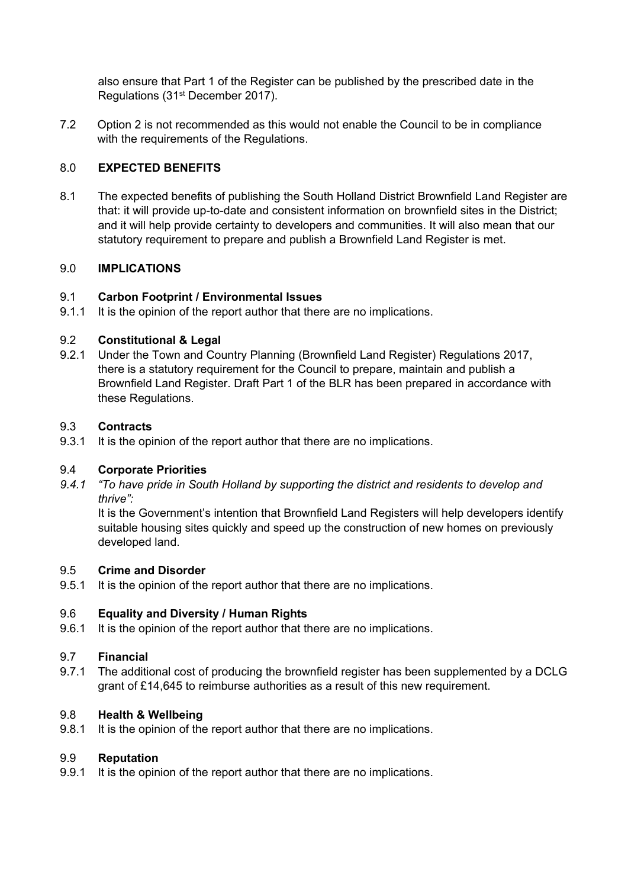also ensure that Part 1 of the Register can be published by the prescribed date in the Regulations (31st December 2017).

7.2 Option 2 is not recommended as this would not enable the Council to be in compliance with the requirements of the Regulations.

## 8.0 **EXPECTED BENEFITS**

8.1 The expected benefits of publishing the South Holland District Brownfield Land Register are that: it will provide up-to-date and consistent information on brownfield sites in the District; and it will help provide certainty to developers and communities. It will also mean that our statutory requirement to prepare and publish a Brownfield Land Register is met.

## 9.0 **IMPLICATIONS**

## 9.1 **Carbon Footprint / Environmental Issues**

9.1.1 It is the opinion of the report author that there are no implications.

## 9.2 **Constitutional & Legal**

9.2.1 Under the Town and Country Planning (Brownfield Land Register) Regulations 2017, there is a statutory requirement for the Council to prepare, maintain and publish a Brownfield Land Register. Draft Part 1 of the BLR has been prepared in accordance with these Regulations.

## 9.3 **Contracts**

9.3.1 It is the opinion of the report author that there are no implications.

## 9.4 **Corporate Priorities**

*9.4.1 "To have pride in South Holland by supporting the district and residents to develop and thrive":*

It is the Government's intention that Brownfield Land Registers will help developers identify suitable housing sites quickly and speed up the construction of new homes on previously developed land.

## 9.5 **Crime and Disorder**

9.5.1 It is the opinion of the report author that there are no implications.

## 9.6 **Equality and Diversity / Human Rights**

9.6.1 It is the opinion of the report author that there are no implications.

## 9.7 **Financial**

9.7.1 The additional cost of producing the brownfield register has been supplemented by a DCLG grant of £14,645 to reimburse authorities as a result of this new requirement.

## 9.8 **Health & Wellbeing**

9.8.1 It is the opinion of the report author that there are no implications.

#### 9.9 **Reputation**

9.9.1 It is the opinion of the report author that there are no implications.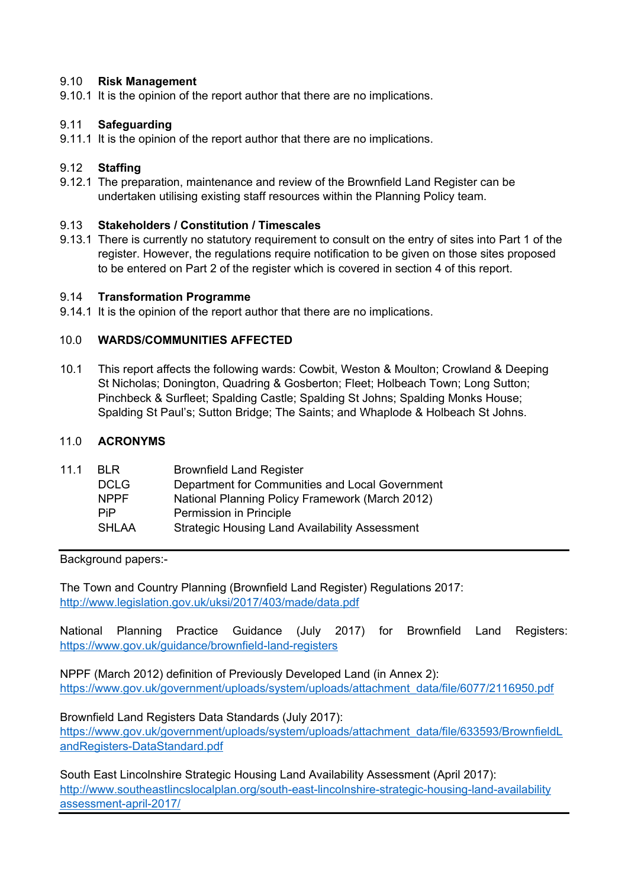## 9.10 **Risk Management**

9.10.1 It is the opinion of the report author that there are no implications.

## 9.11 **Safeguarding**

9.11.1 It is the opinion of the report author that there are no implications.

## 9.12 **Staffing**

9.12.1 The preparation, maintenance and review of the Brownfield Land Register can be undertaken utilising existing staff resources within the Planning Policy team.

## 9.13 **Stakeholders / Constitution / Timescales**

9.13.1 There is currently no statutory requirement to consult on the entry of sites into Part 1 of the register. However, the regulations require notification to be given on those sites proposed to be entered on Part 2 of the register which is covered in section 4 of this report.

## 9.14 **Transformation Programme**

9.14.1 It is the opinion of the report author that there are no implications.

## 10.0 **WARDS/COMMUNITIES AFFECTED**

10.1 This report affects the following wards: Cowbit, Weston & Moulton; Crowland & Deeping St Nicholas; Donington, Quadring & Gosberton; Fleet; Holbeach Town; Long Sutton; Pinchbeck & Surfleet; Spalding Castle; Spalding St Johns; Spalding Monks House; Spalding St Paul's; Sutton Bridge; The Saints; and Whaplode & Holbeach St Johns.

## 11.0 **ACRONYMS**

| 11.1 | <b>BLR</b>   | <b>Brownfield Land Register</b>                       |
|------|--------------|-------------------------------------------------------|
|      | <b>DCLG</b>  | Department for Communities and Local Government       |
|      | <b>NPPF</b>  | National Planning Policy Framework (March 2012)       |
|      | <b>PiP</b>   | Permission in Principle                               |
|      | <b>SHLAA</b> | <b>Strategic Housing Land Availability Assessment</b> |
|      |              |                                                       |

Background papers:-

The Town and Country Planning (Brownfield Land Register) Regulations 2017: <http://www.legislation.gov.uk/uksi/2017/403/made/data.pdf>

National Planning Practice Guidance (July 2017) for Brownfield Land Registers: <https://www.gov.uk/guidance/brownfield-land-registers>

NPPF (March 2012) definition of Previously Developed Land (in Annex 2): [https://www.gov.uk/government/uploads/system/uploads/attachment\\_data/file/6077/2116950.pdf](https://www.gov.uk/government/uploads/system/uploads/attachment_data/file/6077/2116950.pdf)

Brownfield Land Registers Data Standards (July 2017):

[https://www.gov.uk/government/uploads/system/uploads/attachment\\_data/file/633593/BrownfieldL](https://www.gov.uk/government/uploads/system/uploads/attachment_data/file/633593/BrownfieldLandRegisters-DataStandard.pdf) [andRegisters-DataStandard.pdf](https://www.gov.uk/government/uploads/system/uploads/attachment_data/file/633593/BrownfieldLandRegisters-DataStandard.pdf)

South East Lincolnshire Strategic Housing Land Availability Assessment (April 2017): [http://www.southeastlincslocalplan.org/south-east-lincolnshire-strategic-housing-land-availability](http://www.southeastlincslocalplan.org/south-east-lincolnshire-strategic-housing-land-availability%20assessment-april-2017/) [assessment-april-2017/](http://www.southeastlincslocalplan.org/south-east-lincolnshire-strategic-housing-land-availability%20assessment-april-2017/)